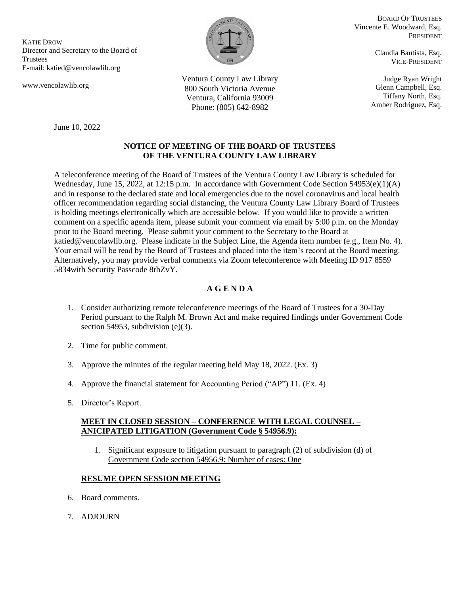KATIE DROW Director and Secretary to the Board of Trustees E-mail: katied@vencolawlib.org

June 10, 2022

www.vencolawlib.org

BOARD OF TRUSTEES Vincente E. Woodward, Esq. PRESIDENT

> Claudia Bautista, Esq. VICE-PRESIDENT

Judge Ryan Wright Glenn Campbell, Esq. Tiffany North, Esq. Amber Rodriguez, Esq.

Ventura County Law Library 800 South Victoria Avenue Ventura, California 93009 Phone: (805) 642-8982

## **NOTICE OF MEETING OF THE BOARD OF TRUSTEES OF THE VENTURA COUNTY LAW LIBRARY**

A teleconference meeting of the Board of Trustees of the Ventura County Law Library is scheduled for Wednesday, June 15, 2022, at 12:15 p.m. In accordance with Government Code Section 54953(e)(1)(A) and in response to the declared state and local emergencies due to the novel coronavirus and local health officer recommendation regarding social distancing, the Ventura County Law Library Board of Trustees is holding meetings electronically which are accessible below. If you would like to provide a written comment on a specific agenda item, please submit your comment via email by 5:00 p.m. on the Monday prior to the Board meeting. Please submit your comment to the Secretary to the Board at katied@vencolawlib.org. Please indicate in the Subject Line, the Agenda item number (e.g., Item No. 4). Your email will be read by the Board of Trustees and placed into the item's record at the Board meeting. Alternatively, you may provide verbal comments via Zoom teleconference with Meeting ID 917 8559 5834with Security Passcode 8rbZvY.

## **A G E N D A**

- 1. Consider authorizing remote teleconference meetings of the Board of Trustees for a 30-Day Period pursuant to the Ralph M. Brown Act and make required findings under Government Code section 54953, subdivision (e)(3).
- 2. Time for public comment.
- 3. Approve the minutes of the regular meeting held May 18, 2022. (Ex. 3)
- 4. Approve the financial statement for Accounting Period ("AP") 11. (Ex. 4)
- 5. Director's Report.

## **MEET IN CLOSED SESSION – CONFERENCE WITH LEGAL COUNSEL – ANICIPATED LITIGATION (Government Code § 54956.9):**

1. Significant exposure to litigation pursuant to paragraph (2) of subdivision (d) of Government Code section 54956.9: Number of cases: One

## **RESUME OPEN SESSION MEETING**

- 6. Board comments.
- 7. ADJOURN